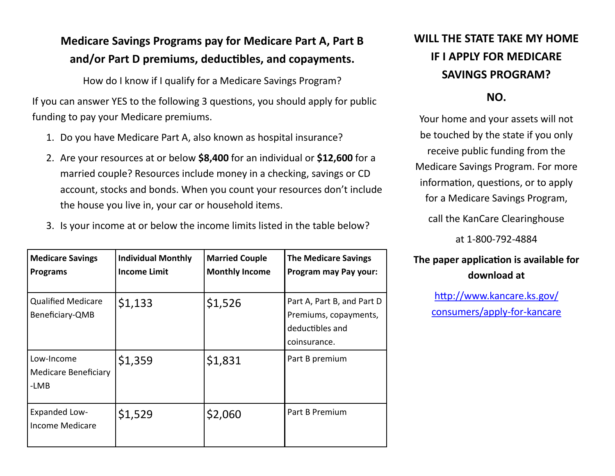### **Medicare Savings Programs pay for Medicare Part A, Part B and/or Part D premiums, deductibles, and copayments.**

How do I know if I qualify for a Medicare Savings Program?

If you can answer YES to the following 3 questions, you should apply for public funding to pay your Medicare premiums.

- 1. Do you have Medicare Part A, also known as hospital insurance?
- 2. Are your resources at or below **\$8,400** for an individual or **\$12,600** for a married couple? Resources include money in a checking, savings or CD account, stocks and bonds. When you count your resources don't include the house you live in, your car or household items.
- 3. Is your income at or below the income limits listed in the table below?

| <b>Medicare Savings</b><br><b>Programs</b>        | <b>Individual Monthly</b><br><b>Income Limit</b> | <b>Married Couple</b><br><b>Monthly Income</b> | <b>The Medicare Savings</b><br>Program may Pay your:                                   |
|---------------------------------------------------|--------------------------------------------------|------------------------------------------------|----------------------------------------------------------------------------------------|
| <b>Qualified Medicare</b><br>Beneficiary-QMB      | \$1,133                                          | \$1,526                                        | Part A, Part B, and Part D<br>Premiums, copayments,<br>deductibles and<br>coinsurance. |
| Low-Income<br><b>Medicare Beneficiary</b><br>-LMB | \$1,359                                          | \$1,831                                        | Part B premium                                                                         |
| <b>Expanded Low-</b><br><b>Income Medicare</b>    | \$1,529                                          | \$2,060                                        | Part B Premium                                                                         |

## **WILL THE STATE TAKE MY HOME IF I APPLY FOR MEDICARE SAVINGS PROGRAM?**

#### **NO.**

Your home and your assets will not be touched by the state if you only receive public funding from the Medicare Savings Program. For more information, questions, or to apply for a Medicare Savings Program,

call the KanCare Clearinghouse

at 1-800-792-4884

#### **The paper application is available for download at**

[http://www.kancare.ks.gov/](http://www.kancare.ks.gov/consumers/apply-for-kancare) [consumers/apply](http://www.kancare.ks.gov/consumers/apply-for-kancare)-for-kancare